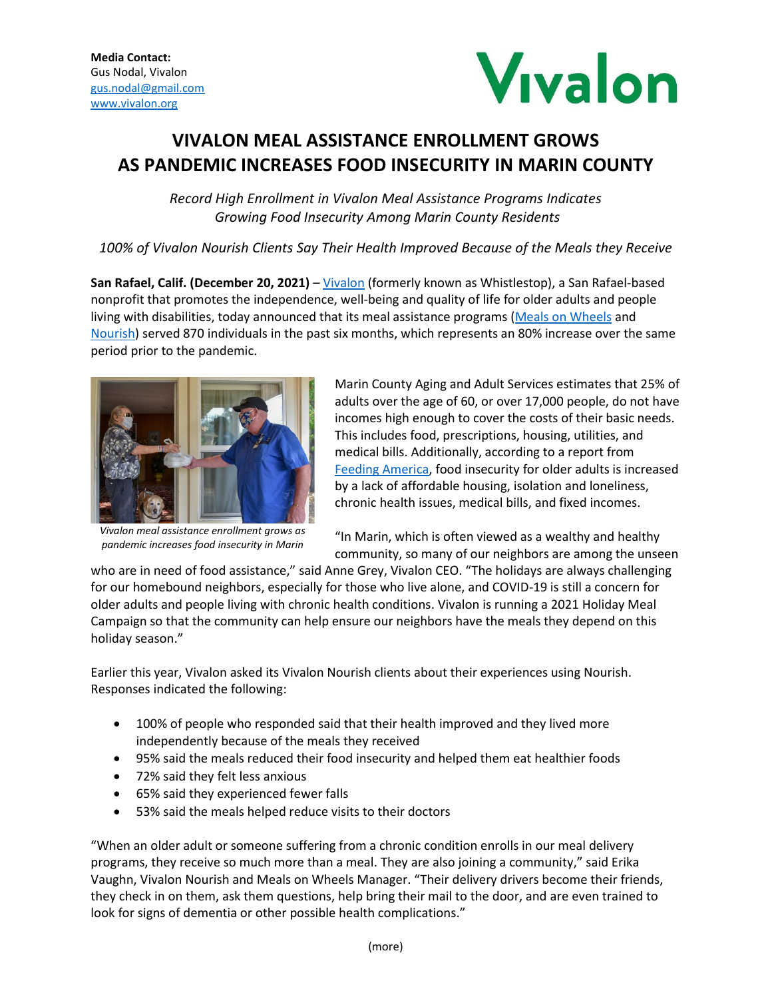

## **VIVALON MEAL ASSISTANCE ENROLLMENT GROWS AS PANDEMIC INCREASES FOOD INSECURITY IN MARIN COUNTY**

*Record High Enrollment in Vivalon Meal Assistance Programs Indicates Growing Food Insecurity Among Marin County Residents*

*100% of Vivalon Nourish Clients Say Their Health Improved Because of the Meals they Receive*

**San Rafael, Calif. (December 20, 2021)** – [Vivalon](https://vivalon.org/) (formerly known as Whistlestop), a San Rafael-based nonprofit that promotes the independence, well-being and quality of life for older adults and people living with disabilities, today announced that its meal assistance programs [\(Meals on Wheels](https://vivalon.org/nutrition/meals-on-wheels-Marin-County/) and [Nourish\)](https://vivalon.org/nutrition/nourish-marin-county/) served 870 individuals in the past six months, which represents an 80% increase over the same period prior to the pandemic.



*Vivalon meal assistance enrollment grows as pandemic increases food insecurity in Marin*

Marin County Aging and Adult Services estimates that 25% of adults over the age of 60, or over 17,000 people, do not have incomes high enough to cover the costs of their basic needs. This includes food, prescriptions, housing, utilities, and medical bills. Additionally, according to a report from [Feeding America,](https://www.feedingamerica.org/research/senior-hunger-research/senior) food insecurity for older adults is increased by a lack of affordable housing, isolation and loneliness, chronic health issues, medical bills, and fixed incomes.

"In Marin, which is often viewed as a wealthy and healthy community, so many of our neighbors are among the unseen

who are in need of food assistance," said Anne Grey, Vivalon CEO. "The holidays are always challenging for our homebound neighbors, especially for those who live alone, and COVID-19 is still a concern for older adults and people living with chronic health conditions. Vivalon is running a 2021 Holiday Meal Campaign so that the community can help ensure our neighbors have the meals they depend on this holiday season."

Earlier this year, Vivalon asked its Vivalon Nourish clients about their experiences using Nourish. Responses indicated the following:

- 100% of people who responded said that their health improved and they lived more independently because of the meals they received
- 95% said the meals reduced their food insecurity and helped them eat healthier foods
- 72% said they felt less anxious
- 65% said they experienced fewer falls
- 53% said the meals helped reduce visits to their doctors

"When an older adult or someone suffering from a chronic condition enrolls in our meal delivery programs, they receive so much more than a meal. They are also joining a community," said Erika Vaughn, Vivalon Nourish and Meals on Wheels Manager. "Their delivery drivers become their friends, they check in on them, ask them questions, help bring their mail to the door, and are even trained to look for signs of dementia or other possible health complications."